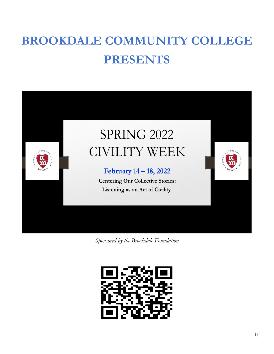# **BROOKDALE COMMUNITY COLLEGE PRESENTS**



*Sponsored by the Brookdale Foundation*

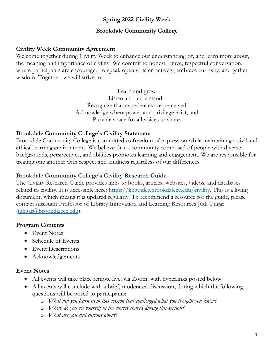# **Spring 2022 Civility Week**

## **Brookdale Community College**

## **Civility Week Community Agreement**

We come together during Civility Week to enhance our understanding of, and learn more about, the meaning and importance of civility. We commit to honest, brave, respectful conversation, where participants are encouraged to speak openly, listen actively, embrace curiosity, and gather wisdom. Together, we will strive to:

> Learn and grow Listen and understand Recognize that experiences are perceived Acknowledge where power and privilege exist; and Provide space for all voices to share.

## **Brookdale Community College's Civility Statement**

Brookdale Community College is committed to freedom of expression while maintaining a civil and ethical learning environment. We believe that a community composed of people with diverse backgrounds, perspectives, and abilities promotes learning and engagement. We are responsible for treating one another with respect and kindness regardless of our differences.

## **Brookdale Community College's Civility Research Guide**

The Civility Research Guide provides links to books, articles, websites, videos, and databases related to civility. It is accessible here: [https://libguides.brookdalecc.edu/civility.](https://libguides.brookdalecc.edu/civility) This is a living document, which means it is updated regularly. To recommend a resource for the guide, please contact Assistant Professor of Library Innovation and Learning Resources Judi Ungar [\(jungar@brookdalecc.edu\)](mailto:jungar@brookdalecc.edu).

## **Program Contents**

- Event Notes
- Schedule of Events
- Event Descriptions
- Acknowledgements

#### **Event Notes**

- All events will take place remote live, via Zoom, with hyperlinks posted below.
- All events will conclude with a brief, moderated discussion, during which the following questions will be posed to participants:
	- o *What did you learn from this session that challenged what you thought you knew?*
	- o *Where do you see yourself in the stories shared during this session?*
	- o *What are you still curious about?*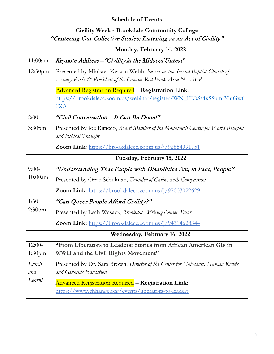# **Schedule of Events**

# **Civility Week - Brookdale Community College** "Centering Our Collective Stories: Listening as an Act of Civility"

|                    | Monday, February 14. 2022                                                                                                                |
|--------------------|------------------------------------------------------------------------------------------------------------------------------------------|
| 11:00am-           | Keynote Address - "Civility in the Midst of Unrest"                                                                                      |
| 12:30pm            | Presented by Minister Kerwin Webb, Pastor at the Second Baptist Church of<br>Asbury Park & President of the Greater Red Bank Area NAACP  |
|                    | <b>Advanced Registration Required - Registration Link:</b><br>https://brookdalecc.zoom.us/webinar/register/WN_IFOSs4xSSumi30uGwf-<br>1XA |
| $2:00-$            | "Civil Conversation - It Can Be Done!"                                                                                                   |
| 3:30 <sub>pm</sub> | Presented by Joe Ritacco, Board Member of the Monmouth Center for World Religion<br>and Ethical Thought                                  |
|                    | Zoom Link: https://brookdalecc.zoom.us/j/92854991151                                                                                     |
|                    | Tuesday, February 15, 2022                                                                                                               |
| $9:00-$            | "Understanding That People with Disabilities Are, in Fact, People"                                                                       |
| 10:00am            | Presented by Orrie Schulman, Founder of Caring with Compassion                                                                           |
|                    | <b>Zoom Link:</b> https://brookdalecc.zoom.us/j/97003022629                                                                              |
| $1:30-$            | "Can Queer People Afford Civility?"                                                                                                      |
| 2:30pm             | Presented by Leah Wasacz, Brookdale Writing Center Tutor                                                                                 |
|                    | Zoom Link: https://brookdalecc.zoom.us/j/94314628344                                                                                     |
|                    | Wednesday, February 16, 2022                                                                                                             |
| $12:00-$           | "From Liberators to Leaders: Stories from African American GIs in                                                                        |
| 1:30 <sub>pm</sub> | WWII and the Civil Rights Movement"                                                                                                      |
| Lunch              | Presented by Dr. Sara Brown, Director of the Center for Holocaust, Human Rights                                                          |
| and                | and Genocide Education                                                                                                                   |
| Learn!             | <b>Advanced Registration Required - Registration Link:</b><br>https://www.chhange.org/events/liberators-to-leaders                       |
|                    |                                                                                                                                          |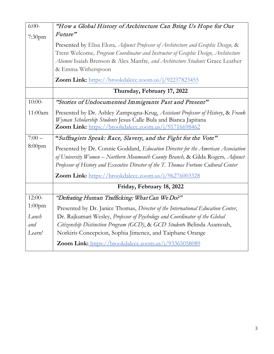| $6:00-$   | "How a Global History of Architecture Can Bring Us Hope for Our                                                                                                                                                                                                                                                    |
|-----------|--------------------------------------------------------------------------------------------------------------------------------------------------------------------------------------------------------------------------------------------------------------------------------------------------------------------|
| 7:30pm    | Future"                                                                                                                                                                                                                                                                                                            |
|           | Presented by Elisa Elora, Adjunct Professor of Architecture and Graphic Design, &<br>Trent Welcome, Program Coordinator and Instructor of Graphic Design, Architecture<br>Alumni Isaiah Brenson & Alex Manfre, and Architecture Students Grace Leather<br>& Emma Witherspoon                                       |
|           | Zoom Link: https://brookdalecc.zoom.us/j/92237823455                                                                                                                                                                                                                                                               |
|           | Thursday, February 17, 2022                                                                                                                                                                                                                                                                                        |
| $10:00-$  | "Stories of Undocumented Immigrants Past and Present"                                                                                                                                                                                                                                                              |
| 11:00am   | Presented by Dr. Ashley Zampogna-Krug, Assistant Professor of History, & Frank<br>Wyman Scholarship Students Jesus Calle Bula and Bianca Japitana<br>Zoom Link: https://brookdalecc.zoom.us/j/91716698462                                                                                                          |
| $7:00-$   | "Suffragists Speak: Race, Slavery, and the Fight for the Vote"                                                                                                                                                                                                                                                     |
| $8:00$ pm | Presented by Dr. Connie Goddard, Education Director for the American Association<br>of University Women - Northern Monmouth County Branch, & Gilda Rogers, Adjunct<br>Professor of History and Executive Director of the T. Thomas Fortune Cultural Center<br>Zoom Link: https://brookdalecc.zoom.us/j/96276003328 |
|           | Friday, February 18, 2022                                                                                                                                                                                                                                                                                          |
| $12:00-$  | "Defeating Human Trafficking: What Can We Do?"                                                                                                                                                                                                                                                                     |
| $1:00$ pm | Presented by Dr. Janice Thomas, Director of the International Education Center,                                                                                                                                                                                                                                    |
| Lunch     | Dr. Rajkumari Wesley, Professor of Psychology and Coordinator of the Global                                                                                                                                                                                                                                        |
| and       | Citizenship Distinction Program (GCD), & GCD Students Belinda Asamoah,                                                                                                                                                                                                                                             |
| Learn!    | Norkiris Concepcion, Sophia Jimenez, and Taiphane Orange                                                                                                                                                                                                                                                           |
|           | Zoom Link: https://brookdalecc.zoom.us/j/93365058089                                                                                                                                                                                                                                                               |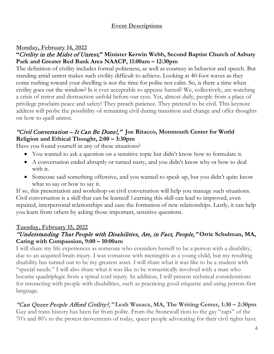# **Event Descriptions**

# **Monday, February 14, 2022**

# **"**Civility in the Midst of Unrest**," Minister Kerwin Webb, Second Baptist Church of Asbury Park and Greater Red Bank Area NAACP, 11:00am – 12:30pm**

The definition of civility includes formal politeness, as well as courtesy in behavior and speech. But standing amid unrest makes such civility difficult to achieve. Looking at 40-foot waves as they come rushing toward your dwelling is not the time for polite nor calm. So, is there a time when civility goes out the window? Is it ever acceptable to appease hatred? We, collectively, are watching a crisis of terror and destruction unfold before our eyes. Yet, almost daily, people from a place of privilege proclaim peace and safety! They preach patience. They pretend to be civil. This keynote address will probe the possibility of remaining civil during transition and change and offer thoughts on how to quell unrest.

# "Civil Conversation – It Can Be Done!," **Joe Ritacco, Monmouth Center for World Religion and Ethical Thought, 2:00 – 3:30pm**

Have you found yourself in any of these situations?

- You wanted to ask a question on a sensitive topic but didn't know how to formulate it.
- A conversation ended abruptly or turned nasty, and you didn't know why or how to deal with it.
- Someone said something offensive, and you wanted to speak up, but you didn't quite know what to say or how to say it.

If so, this presentation and workshop on civil conversation will help you manage such situations. Civil conversation is a skill that can be learned! Learning this skill can lead to improved, even repaired, interpersonal relationships and ease the formation of new relationships. Lastly, it can help you learn from others by asking those important, sensitive questions.

# **Tuesday, February 15, 2022**

# "Understanding That People with Disabilities, Are, in Fact, People," **Orrie Schulman, MA, Caring with Compassion, 9:00 – 10:00am**

I will share my life experiences as someone who considers herself to be a person with a disability, due to an acquired brain injury. I was comatose with meningitis as a young child, but my resulting disability has turned out to be my greatest asset. I will share what it was like to be a student with "special needs." I will also share what it was like to be romantically involved with a man who became quadriplegic from a spinal cord injury. In addition, I will present technical considerations for interacting with people with disabilities, such as practicing good etiquette and using person-first language.

# "Can Queer People Afford Civility?," **Leah Wasacz, MA, The Writing Center, 1:30 – 2:30pm**

Gay and trans history has been far from polite. From the Stonewall riots to the gay "zaps" of the 70's and 80's to the protest movements of today, queer people advocating for their civil rights have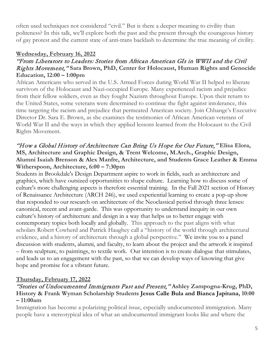often used techniques not considered "civil." But is there a deeper meaning to civility than politeness? In this talk, we'll explore both the past and the present through the courageous history of gay protest and the current state of anti-trans backlash to determine the true meaning of civility.

# **Wednesday, February 16, 2022**

# "From Liberators to Leaders: Stories from African American GIs in WWII and the Civil Rights Movement," **Sara Brown, PhD, Center for Holocaust, Human Rights and Genocide Education, 12:00 – 1:00pm**

African Americans who served in the U.S. Armed Forces during World War II helped to liberate survivors of the Holocaust and Nazi-occupied Europe. Many experienced racism and prejudice from their fellow soldiers, even as they fought Nazism throughout Europe. Upon their return to the United States, some veterans were determined to continue the fight against intolerance, this time targeting the racism and prejudice that permeated American society. Join Chhange's Executive Director Dr. Sara E. Brown, as she examines the testimonies of African American veterans of World War II and the ways in which they applied lessons learned from the Holocaust to the Civil Rights Movement.

# "How a Global History of Architecture Can Bring Us Hope for Our Future," **Elisa Elora, MS, Architecture and Graphic Design, & Trent Welcome, M.Arch., Graphic Design, Alumni Isaiah Brenson & Alex Manfre, Architecture, and Students Grace Leather & Emma Witherspoon, Architecture, 6:00 – 7:30pm**

Students in Brookdale's Design Department aspire to work in fields, such as architecture and graphics, which have outsized opportunities to shape culture. Learning how to discuss some of culture's more challenging aspects is therefore essential training. In the Fall 2021 section of History of Renaissance Architecture (ARCH 246), we used experiential learning to create a pop-up show that responded to our research on architecture of the Neoclassical period through three lenses: canonical, recent and avant-garde. This was opportunity to understand inequity in our own culture's history of architecture and design in a way that helps us to better engage with contemporary topics both locally and globally. This approach to the past aligns with what scholars Robert Cowherd and Patrick Haughey call a "history of the world through architectural evidence, and a history of architecture through a global perspective." We invite you to a panel discussion with students, alumni, and faculty, to learn about the project and the artwork it inspired – from sculpture, to paintings, to textile work. Our intention is to create dialogue that stimulates, and leads us to an engagement with the past, so that we can develop ways of knowing that give hope and promise for a vibrant future.

# **Thursday, February 17, 2022**

## "Stories of Undocumented Immigrants Past and Present," **Ashley Zampogna-Krug, PhD, History & Frank Wyman Scholarship Students Jesus Calle Bula and Bianca Japitana, 10:00 – 11:00am**

Immigration has become a polarizing political issue, especially undocumented immigration. Many people have a stereotypical idea of what an undocumented immigrant looks like and where the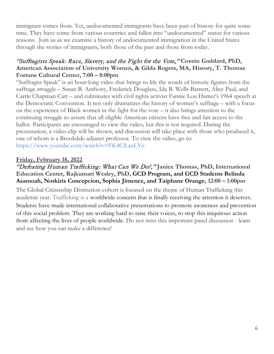immigrant comes from. Yet, undocumented immigrants have been part of history for quite some time. They have come from various countries and fallen into "undocumented" status for various reasons. Join us as we examine a history of undocumented immigration in the United States through the stories of immigrants, both those of the past and those from today.

# "Suffragists Speak: Race, Slavery, and the Fight for the Vote," **Connie Goddard, PhD, American Association of University Women, & Gilda Rogers, MA, History, T. Thomas Fortune Cultural Center, 7:00 – 8:00pm**

"Suffragist Speak" is an hour-long video that brings to life the words of historic figures from the suffrage struggle – Susan B. Anthony, Frederick Douglass, Ida B. Wells-Barnett, Alice Paul, and Carrie Chapman Catt – and culminates with civil rights activist Fannie Lou Hamer's 1964 speech at the Democratic Convention. It not only dramatizes the history of women's suffrage – with a focus on the experience of Black women in the fight for the vote – it also brings attention to the continuing struggle to assure that all eligible American citizens have free and fair access to the ballot. Participants are encouraged to view the video, but this is not required. During the presentation, a video clip will be shown, and discussion will take place with those who produced it, one of whom is a Brookdale adjunct professor. To view the video, go to: https://www.youtube.com/watch?v=FK4ClLazLYo

## **Friday, February 18, 2022**

## "Defeating Human Trafficking: What Can We Do?," **Janice Thomas, PhD, International Education Center, Rajkumari Wesley, PhD, GCD Program, and GCD Students Belinda Asamoah, Norkiris Concepcion, Sophia Jimenez, and Taiphane Orange, 12:00 – 1:00pm**

The Global Citizenship Distinction cohort is focused on the theme of Human Trafficking this academic year. Trafficking is a worldwide concern that is finally receiving the attention it deserves. Students have made international collaborative presentations to promote awareness and prevention of this social problem. They are working hard to raise their voices, to stop this iniquitous action from affecting the lives of people worldwide. Do not miss this important panel discussion - learn and see how you can make a difference!